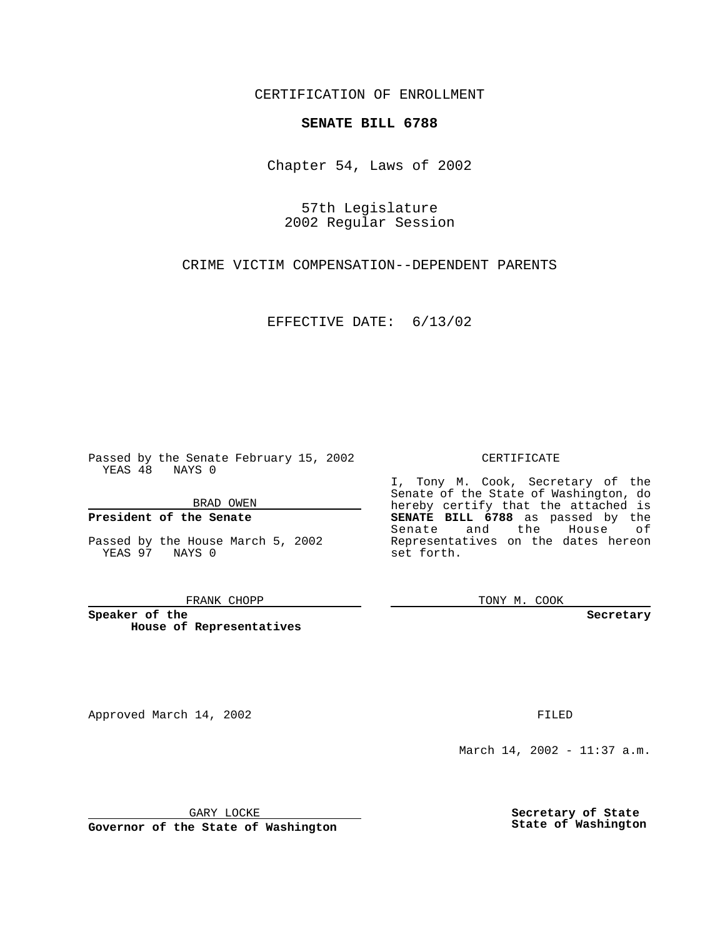CERTIFICATION OF ENROLLMENT

## **SENATE BILL 6788**

Chapter 54, Laws of 2002

57th Legislature 2002 Regular Session

CRIME VICTIM COMPENSATION--DEPENDENT PARENTS

EFFECTIVE DATE: 6/13/02

Passed by the Senate February 15, 2002 YEAS 48 NAYS 0

BRAD OWEN

### **President of the Senate**

Passed by the House March 5, 2002 YEAS 97 NAYS 0

#### FRANK CHOPP

**Speaker of the House of Representatives**

Approved March 14, 2002 **FILED** 

### CERTIFICATE

I, Tony M. Cook, Secretary of the Senate of the State of Washington, do hereby certify that the attached is **SENATE BILL 6788** as passed by the Senate and the House of Representatives on the dates hereon set forth.

TONY M. COOK

**Secretary**

March 14, 2002 - 11:37 a.m.

GARY LOCKE

**Governor of the State of Washington**

**Secretary of State State of Washington**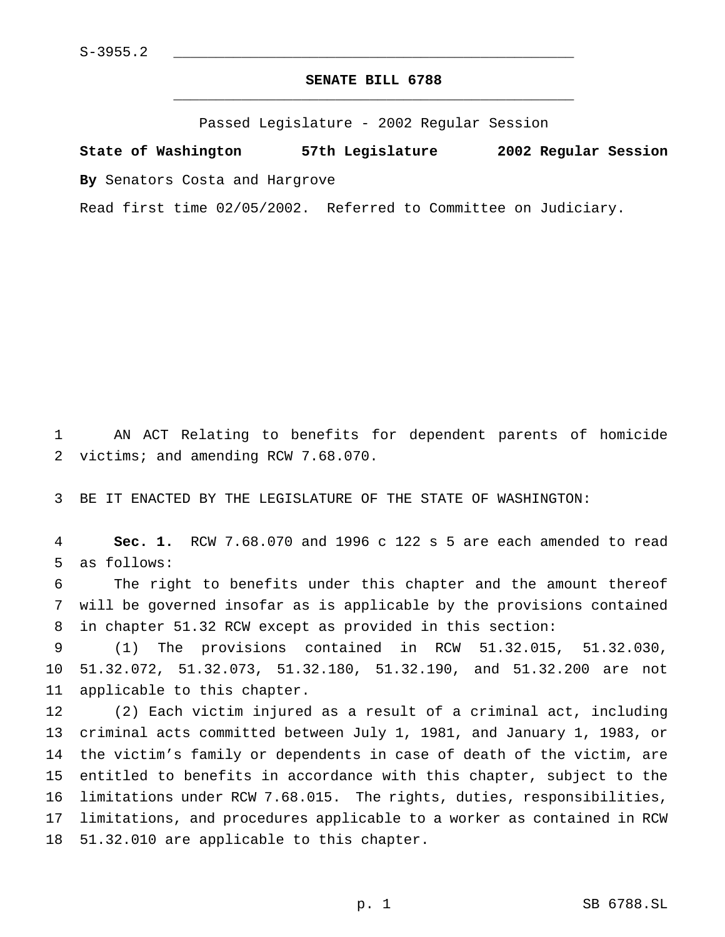# **SENATE BILL 6788** \_\_\_\_\_\_\_\_\_\_\_\_\_\_\_\_\_\_\_\_\_\_\_\_\_\_\_\_\_\_\_\_\_\_\_\_\_\_\_\_\_\_\_\_\_\_\_

Passed Legislature - 2002 Regular Session

**State of Washington 57th Legislature 2002 Regular Session**

**By** Senators Costa and Hargrove

Read first time 02/05/2002. Referred to Committee on Judiciary.

 AN ACT Relating to benefits for dependent parents of homicide victims; and amending RCW 7.68.070.

BE IT ENACTED BY THE LEGISLATURE OF THE STATE OF WASHINGTON:

 **Sec. 1.** RCW 7.68.070 and 1996 c 122 s 5 are each amended to read as follows:

 The right to benefits under this chapter and the amount thereof will be governed insofar as is applicable by the provisions contained in chapter 51.32 RCW except as provided in this section:

 (1) The provisions contained in RCW 51.32.015, 51.32.030, 51.32.072, 51.32.073, 51.32.180, 51.32.190, and 51.32.200 are not applicable to this chapter.

 (2) Each victim injured as a result of a criminal act, including criminal acts committed between July 1, 1981, and January 1, 1983, or the victim's family or dependents in case of death of the victim, are entitled to benefits in accordance with this chapter, subject to the limitations under RCW 7.68.015. The rights, duties, responsibilities, limitations, and procedures applicable to a worker as contained in RCW 51.32.010 are applicable to this chapter.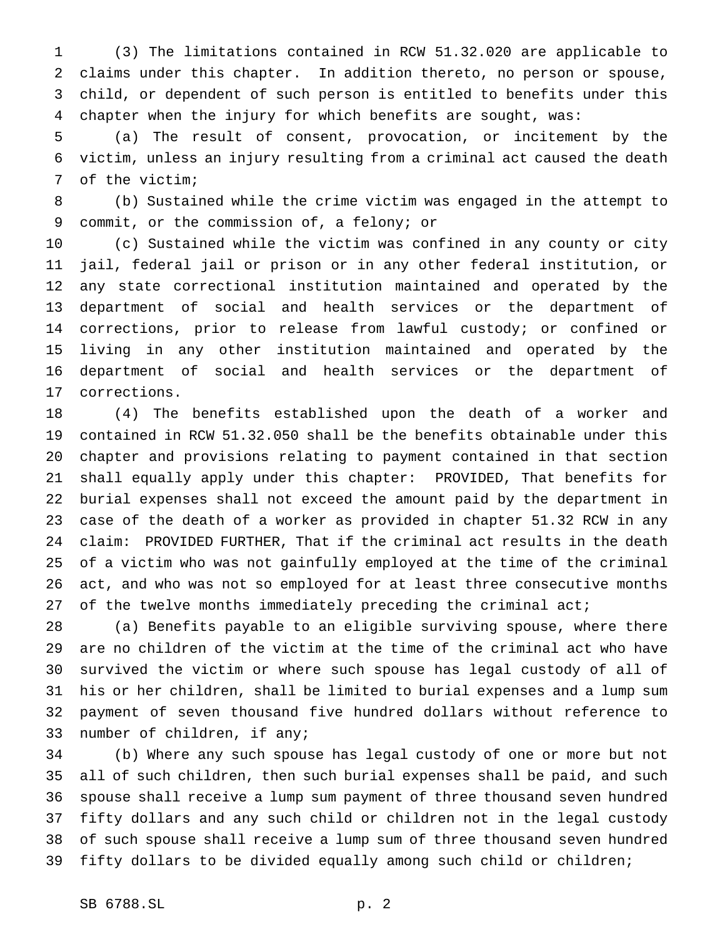(3) The limitations contained in RCW 51.32.020 are applicable to claims under this chapter. In addition thereto, no person or spouse, child, or dependent of such person is entitled to benefits under this chapter when the injury for which benefits are sought, was:

 (a) The result of consent, provocation, or incitement by the victim, unless an injury resulting from a criminal act caused the death of the victim;

 (b) Sustained while the crime victim was engaged in the attempt to commit, or the commission of, a felony; or

 (c) Sustained while the victim was confined in any county or city jail, federal jail or prison or in any other federal institution, or any state correctional institution maintained and operated by the department of social and health services or the department of corrections, prior to release from lawful custody; or confined or living in any other institution maintained and operated by the department of social and health services or the department of corrections.

 (4) The benefits established upon the death of a worker and contained in RCW 51.32.050 shall be the benefits obtainable under this chapter and provisions relating to payment contained in that section shall equally apply under this chapter: PROVIDED, That benefits for burial expenses shall not exceed the amount paid by the department in case of the death of a worker as provided in chapter 51.32 RCW in any claim: PROVIDED FURTHER, That if the criminal act results in the death of a victim who was not gainfully employed at the time of the criminal act, and who was not so employed for at least three consecutive months 27 of the twelve months immediately preceding the criminal act;

 (a) Benefits payable to an eligible surviving spouse, where there are no children of the victim at the time of the criminal act who have survived the victim or where such spouse has legal custody of all of his or her children, shall be limited to burial expenses and a lump sum payment of seven thousand five hundred dollars without reference to number of children, if any;

 (b) Where any such spouse has legal custody of one or more but not all of such children, then such burial expenses shall be paid, and such spouse shall receive a lump sum payment of three thousand seven hundred fifty dollars and any such child or children not in the legal custody of such spouse shall receive a lump sum of three thousand seven hundred 39 fifty dollars to be divided equally among such child or children;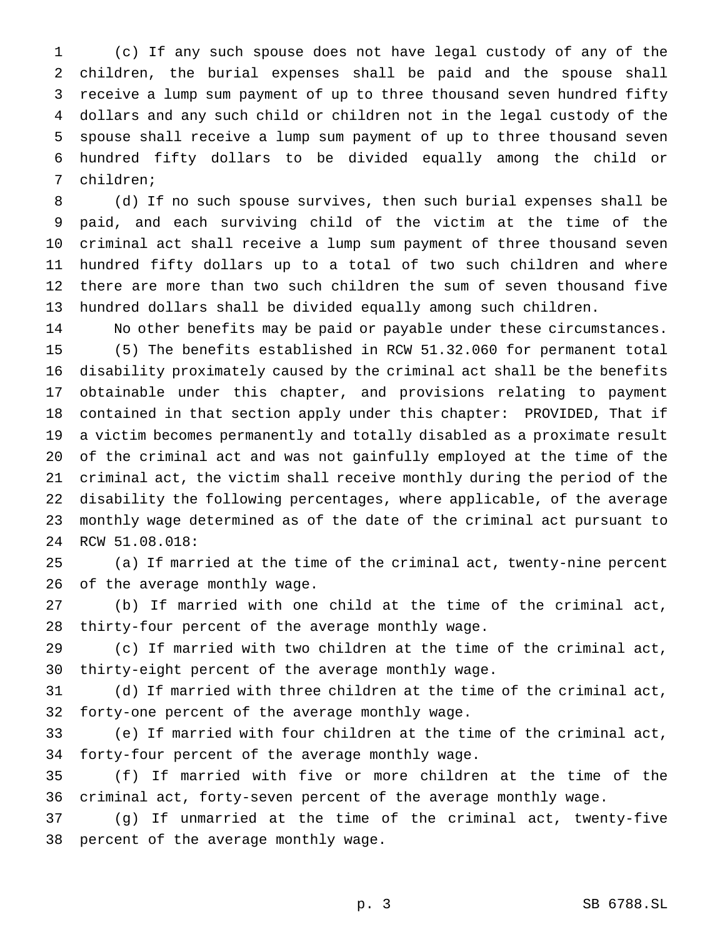(c) If any such spouse does not have legal custody of any of the children, the burial expenses shall be paid and the spouse shall receive a lump sum payment of up to three thousand seven hundred fifty dollars and any such child or children not in the legal custody of the spouse shall receive a lump sum payment of up to three thousand seven hundred fifty dollars to be divided equally among the child or children;

 (d) If no such spouse survives, then such burial expenses shall be paid, and each surviving child of the victim at the time of the criminal act shall receive a lump sum payment of three thousand seven hundred fifty dollars up to a total of two such children and where there are more than two such children the sum of seven thousand five hundred dollars shall be divided equally among such children.

 No other benefits may be paid or payable under these circumstances. (5) The benefits established in RCW 51.32.060 for permanent total disability proximately caused by the criminal act shall be the benefits obtainable under this chapter, and provisions relating to payment contained in that section apply under this chapter: PROVIDED, That if a victim becomes permanently and totally disabled as a proximate result of the criminal act and was not gainfully employed at the time of the criminal act, the victim shall receive monthly during the period of the disability the following percentages, where applicable, of the average monthly wage determined as of the date of the criminal act pursuant to RCW 51.08.018:

 (a) If married at the time of the criminal act, twenty-nine percent of the average monthly wage.

 (b) If married with one child at the time of the criminal act, thirty-four percent of the average monthly wage.

 (c) If married with two children at the time of the criminal act, thirty-eight percent of the average monthly wage.

 (d) If married with three children at the time of the criminal act, forty-one percent of the average monthly wage.

 (e) If married with four children at the time of the criminal act, forty-four percent of the average monthly wage.

 (f) If married with five or more children at the time of the criminal act, forty-seven percent of the average monthly wage.

 (g) If unmarried at the time of the criminal act, twenty-five percent of the average monthly wage.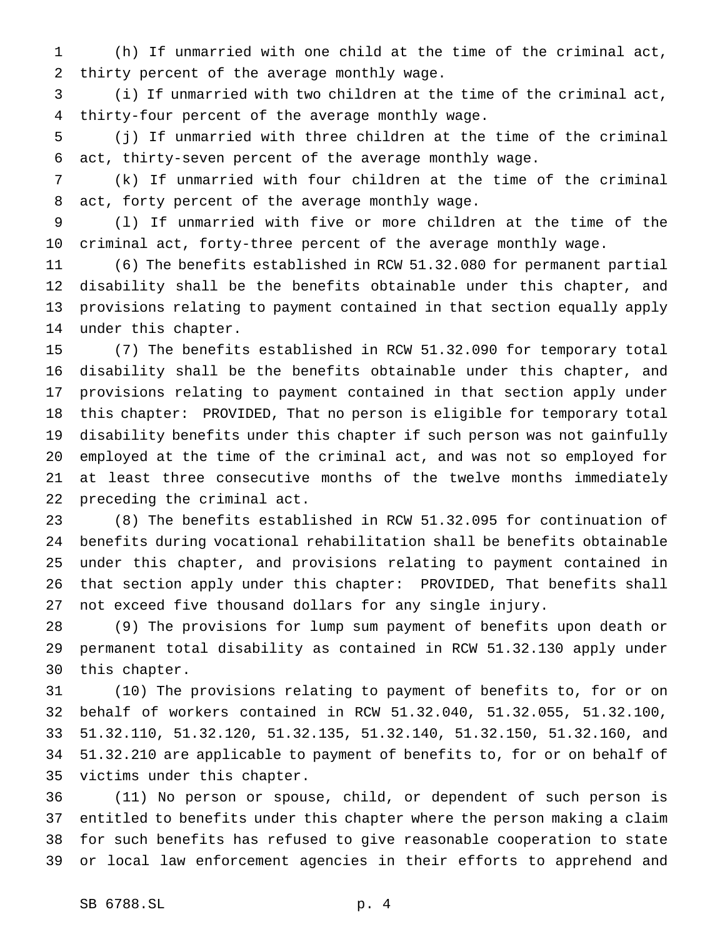(h) If unmarried with one child at the time of the criminal act, thirty percent of the average monthly wage.

 (i) If unmarried with two children at the time of the criminal act, thirty-four percent of the average monthly wage.

 (j) If unmarried with three children at the time of the criminal act, thirty-seven percent of the average monthly wage.

 (k) If unmarried with four children at the time of the criminal act, forty percent of the average monthly wage.

 (l) If unmarried with five or more children at the time of the criminal act, forty-three percent of the average monthly wage.

 (6) The benefits established in RCW 51.32.080 for permanent partial disability shall be the benefits obtainable under this chapter, and provisions relating to payment contained in that section equally apply under this chapter.

 (7) The benefits established in RCW 51.32.090 for temporary total disability shall be the benefits obtainable under this chapter, and provisions relating to payment contained in that section apply under this chapter: PROVIDED, That no person is eligible for temporary total disability benefits under this chapter if such person was not gainfully employed at the time of the criminal act, and was not so employed for at least three consecutive months of the twelve months immediately preceding the criminal act.

 (8) The benefits established in RCW 51.32.095 for continuation of benefits during vocational rehabilitation shall be benefits obtainable under this chapter, and provisions relating to payment contained in that section apply under this chapter: PROVIDED, That benefits shall not exceed five thousand dollars for any single injury.

 (9) The provisions for lump sum payment of benefits upon death or permanent total disability as contained in RCW 51.32.130 apply under this chapter.

 (10) The provisions relating to payment of benefits to, for or on behalf of workers contained in RCW 51.32.040, 51.32.055, 51.32.100, 51.32.110, 51.32.120, 51.32.135, 51.32.140, 51.32.150, 51.32.160, and 51.32.210 are applicable to payment of benefits to, for or on behalf of victims under this chapter.

 (11) No person or spouse, child, or dependent of such person is entitled to benefits under this chapter where the person making a claim for such benefits has refused to give reasonable cooperation to state or local law enforcement agencies in their efforts to apprehend and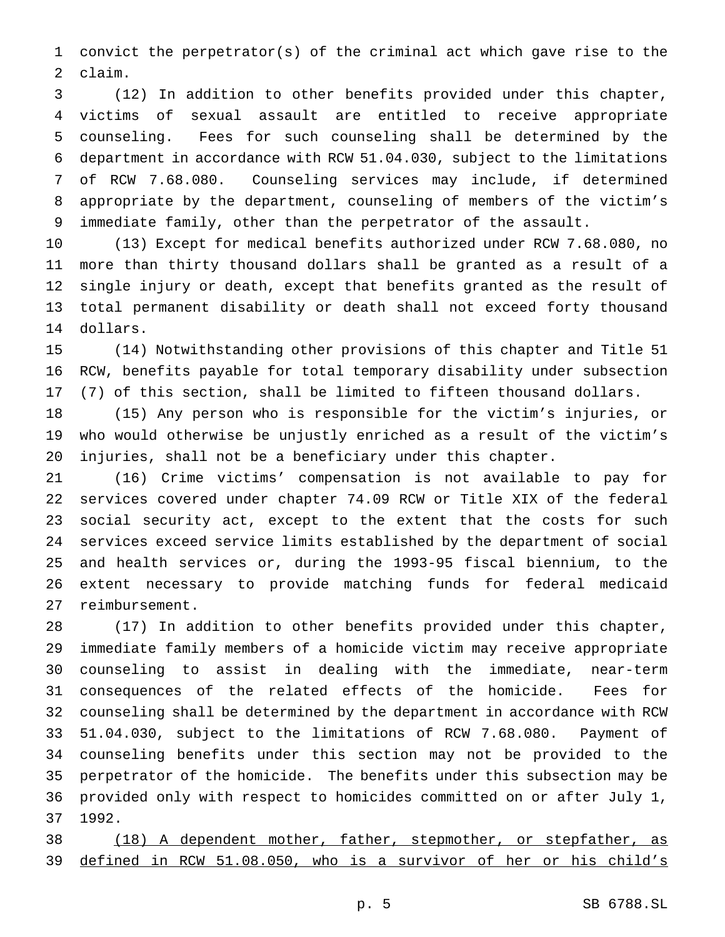convict the perpetrator(s) of the criminal act which gave rise to the claim.

 (12) In addition to other benefits provided under this chapter, victims of sexual assault are entitled to receive appropriate counseling. Fees for such counseling shall be determined by the department in accordance with RCW 51.04.030, subject to the limitations of RCW 7.68.080. Counseling services may include, if determined appropriate by the department, counseling of members of the victim's immediate family, other than the perpetrator of the assault.

 (13) Except for medical benefits authorized under RCW 7.68.080, no more than thirty thousand dollars shall be granted as a result of a single injury or death, except that benefits granted as the result of total permanent disability or death shall not exceed forty thousand dollars.

 (14) Notwithstanding other provisions of this chapter and Title 51 RCW, benefits payable for total temporary disability under subsection (7) of this section, shall be limited to fifteen thousand dollars.

 (15) Any person who is responsible for the victim's injuries, or who would otherwise be unjustly enriched as a result of the victim's injuries, shall not be a beneficiary under this chapter.

 (16) Crime victims' compensation is not available to pay for services covered under chapter 74.09 RCW or Title XIX of the federal social security act, except to the extent that the costs for such services exceed service limits established by the department of social and health services or, during the 1993-95 fiscal biennium, to the extent necessary to provide matching funds for federal medicaid reimbursement.

 (17) In addition to other benefits provided under this chapter, immediate family members of a homicide victim may receive appropriate counseling to assist in dealing with the immediate, near-term consequences of the related effects of the homicide. Fees for counseling shall be determined by the department in accordance with RCW 51.04.030, subject to the limitations of RCW 7.68.080. Payment of counseling benefits under this section may not be provided to the perpetrator of the homicide. The benefits under this subsection may be provided only with respect to homicides committed on or after July 1, 1992.

 (18) A dependent mother, father, stepmother, or stepfather, as defined in RCW 51.08.050, who is a survivor of her or his child's

p. 5 SB 6788.SL